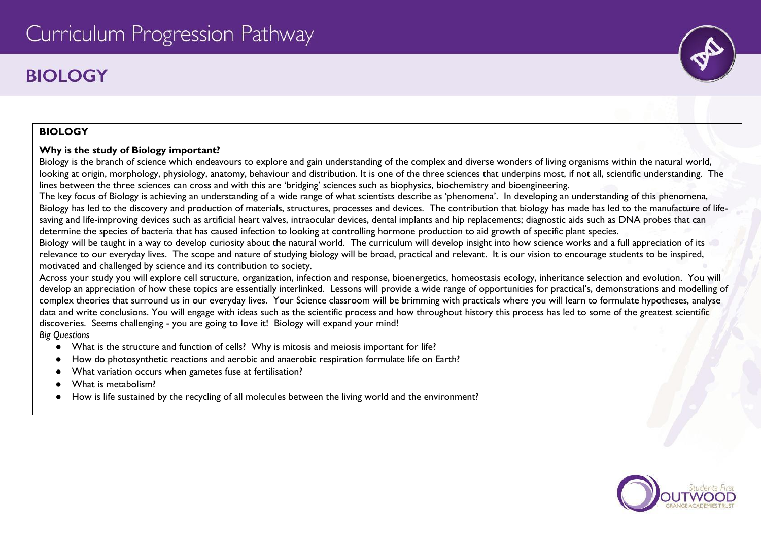# **BIOLOGY**

# **BIOLOGY**

#### **Why is the study of Biology important?**

Biology is the branch of science which endeavours to explore and gain understanding of the complex and diverse wonders of living organisms within the natural world, looking at origin, morphology, physiology, anatomy, behaviour and distribution. It is one of the three sciences that underpins most, if not all, scientific understanding. The lines between the three sciences can cross and with this are 'bridging' sciences such as biophysics, biochemistry and bioengineering.

The key focus of Biology is achieving an understanding of a wide range of what scientists describe as 'phenomena'. In developing an understanding of this phenomena, Biology has led to the discovery and production of materials, structures, processes and devices. The contribution that biology has made has led to the manufacture of lifesaving and life-improving devices such as artificial heart valves, intraocular devices, dental implants and hip replacements; diagnostic aids such as DNA probes that can determine the species of bacteria that has caused infection to looking at controlling hormone production to aid growth of specific plant species.

Biology will be taught in a way to develop curiosity about the natural world. The curriculum will develop insight into how science works and a full appreciation of its relevance to our everyday lives. The scope and nature of studying biology will be broad, practical and relevant. It is our vision to encourage students to be inspired, motivated and challenged by science and its contribution to society.

Across your study you will explore cell structure, organization, infection and response, bioenergetics, homeostasis ecology, inheritance selection and evolution. You will develop an appreciation of how these topics are essentially interlinked. Lessons will provide a wide range of opportunities for practical's, demonstrations and modelling of complex theories that surround us in our everyday lives. Your Science classroom will be brimming with practicals where you will learn to formulate hypotheses, analyse data and write conclusions. You will engage with ideas such as the scientific process and how throughout history this process has led to some of the greatest scientific discoveries. Seems challenging - you are going to love it! Biology will expand your mind! *Big Questions*

- What is the structure and function of cells? Why is mitosis and meiosis important for life?
- How do photosynthetic reactions and aerobic and anaerobic respiration formulate life on Earth?
- What variation occurs when gametes fuse at fertilisation?
- What is metabolism?
- How is life sustained by the recycling of all molecules between the living world and the environment?

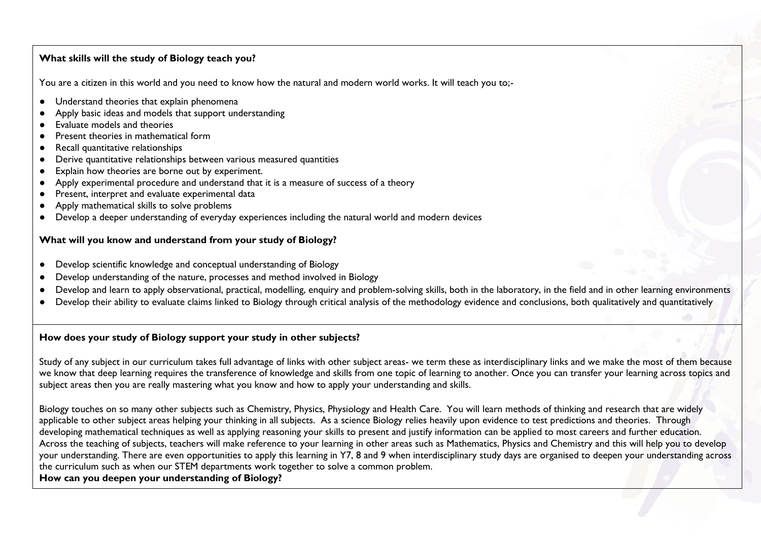#### **What skills will the study of Biology teach you?**

You are a citizen in this world and you need to know how the natural and modern world works. It will teach you to;-

- Understand theories that explain phenomena
- Apply basic ideas and models that support understanding
- Evaluate models and theories
- Present theories in mathematical form
- Recall quantitative relationships
- Derive quantitative relationships between various measured quantities
- Explain how theories are borne out by experiment.
- Apply experimental procedure and understand that it is a measure of success of a theory
- Present, interpret and evaluate experimental data
- Apply mathematical skills to solve problems
- Develop a deeper understanding of everyday experiences including the natural world and modern devices

### **What will you know and understand from your study of Biology?**

- Develop scientific knowledge and conceptual understanding of Biology
- Develop understanding of the nature, processes and method involved in Biology
- Develop and learn to apply observational, practical, modelling, enquiry and problem-solving skills, both in the laboratory, in the field and in other learning environments
- Develop their ability to evaluate claims linked to Biology through critical analysis of the methodology evidence and conclusions, both qualitatively and quantitatively

## **How does your study of Biology support your study in other subjects?**

Study of any subject in our curriculum takes full advantage of links with other subject areas- we term these as interdisciplinary links and we make the most of them because we know that deep learning requires the transference of knowledge and skills from one topic of learning to another. Once you can transfer your learning across topics and subject areas then you are really mastering what you know and how to apply your understanding and skills.

Biology touches on so many other subjects such as Chemistry, Physics, Physiology and Health Care. You will learn methods of thinking and research that are widely applicable to other subject areas helping your thinking in all subjects. As a science Biology relies heavily upon evidence to test predictions and theories. Through developing mathematical techniques as well as applying reasoning your skills to present and justify information can be applied to most careers and further education. Across the teaching of subjects, teachers will make reference to your learning in other areas such as Mathematics, Physics and Chemistry and this will help you to develop your understanding. There are even opportunities to apply this learning in Y7, 8 and 9 when interdisciplinary study days are organised to deepen your understanding across the curriculum such as when our STEM departments work together to solve a common problem.

# **How can you deepen your understanding of Biology?**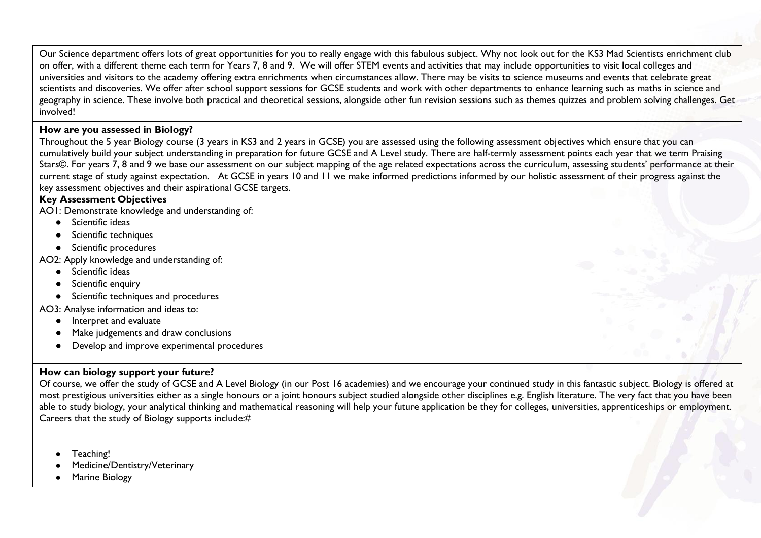Our Science department offers lots of great opportunities for you to really engage with this fabulous subject. Why not look out for the KS3 Mad Scientists enrichment club on offer, with a different theme each term for Years 7, 8 and 9. We will offer STEM events and activities that may include opportunities to visit local colleges and universities and visitors to the academy offering extra enrichments when circumstances allow. There may be visits to science museums and events that celebrate great scientists and discoveries. We offer after school support sessions for GCSE students and work with other departments to enhance learning such as maths in science and geography in science. These involve both practical and theoretical sessions, alongside other fun revision sessions such as themes quizzes and problem solving challenges. Get involved!

#### **How are you assessed in Biology?**

Throughout the 5 year Biology course (3 years in KS3 and 2 years in GCSE) you are assessed using the following assessment objectives which ensure that you can cumulatively build your subject understanding in preparation for future GCSE and A Level study. There are half-termly assessment points each year that we term Praising Stars©. For years 7, 8 and 9 we base our assessment on our subject mapping of the age related expectations across the curriculum, assessing students' performance at their current stage of study against expectation. At GCSE in years 10 and 11 we make informed predictions informed by our holistic assessment of their progress against the key assessment objectives and their aspirational GCSE targets.

#### **Key Assessment Objectives**

AO1: Demonstrate knowledge and understanding of:

- Scientific ideas
- Scientific techniques
- Scientific procedures

AO2: Apply knowledge and understanding of:

- Scientific ideas
- Scientific enquiry
- Scientific techniques and procedures

AO3: Analyse information and ideas to:

- Interpret and evaluate
- Make judgements and draw conclusions
- Develop and improve experimental procedures

## **How can biology support your future?**

Of course, we offer the study of GCSE and A Level Biology (in our Post 16 academies) and we encourage your continued study in this fantastic subject. Biology is offered at most prestigious universities either as a single honours or a joint honours subject studied alongside other disciplines e.g. English literature. The very fact that you have been able to study biology, your analytical thinking and mathematical reasoning will help your future application be they for colleges, universities, apprenticeships or employment. Careers that the study of Biology supports include:#

- Teaching!
- Medicine/Dentistry/Veterinary
- Marine Biology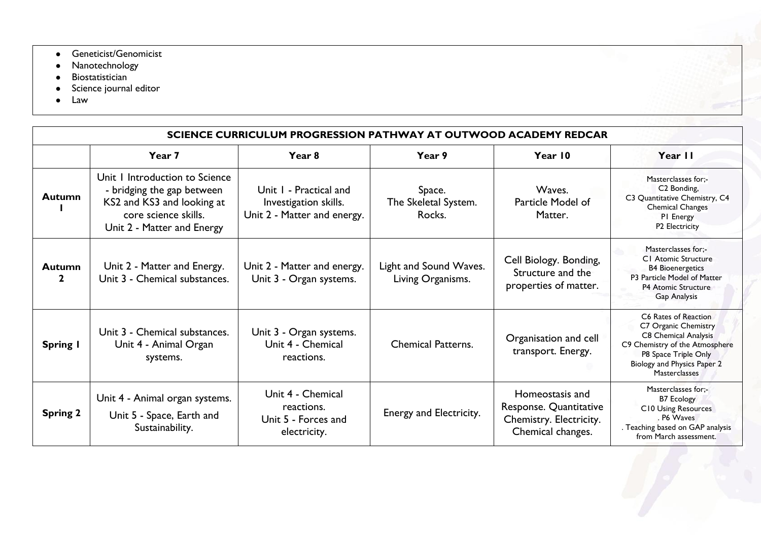- **•** Geneticist/Genomicist
- Nanotechnology
- Biostatistician
- Science journal editor
- Law

| SCIENCE CURRICULUM PROGRESSION PATHWAY AT OUTWOOD ACADEMY REDCAR |                                                                                                                                                  |                                                                                |                                             |                                                                                           |                                                                                                                                                                                       |  |  |  |
|------------------------------------------------------------------|--------------------------------------------------------------------------------------------------------------------------------------------------|--------------------------------------------------------------------------------|---------------------------------------------|-------------------------------------------------------------------------------------------|---------------------------------------------------------------------------------------------------------------------------------------------------------------------------------------|--|--|--|
|                                                                  | Year 7                                                                                                                                           | Year <sub>8</sub>                                                              | Year 9                                      | Year 10                                                                                   | Year II                                                                                                                                                                               |  |  |  |
| <b>Autumn</b>                                                    | Unit I Introduction to Science<br>- bridging the gap between<br>KS2 and KS3 and looking at<br>core science skills.<br>Unit 2 - Matter and Energy | Unit I - Practical and<br>Investigation skills.<br>Unit 2 - Matter and energy. | Space.<br>The Skeletal System.<br>Rocks.    | Waves.<br>Particle Model of<br>Matter.                                                    | Masterclasses for:-<br>C <sub>2</sub> Bonding,<br>C3 Quantitative Chemistry, C4<br><b>Chemical Changes</b><br>PI Energy<br>P <sub>2</sub> Electricity                                 |  |  |  |
| <b>Autumn</b><br>$\mathbf{2}$                                    | Unit 2 - Matter and Energy.<br>Unit 3 - Chemical substances.                                                                                     | Unit 2 - Matter and energy.<br>Unit 3 - Organ systems.                         | Light and Sound Waves.<br>Living Organisms. | Cell Biology. Bonding,<br>Structure and the<br>properties of matter.                      | Masterclasses for:-<br><b>CI</b> Atomic Structure<br><b>B4 Bioenergetics</b><br>P3 Particle Model of Matter<br><b>P4 Atomic Structure</b><br>Gap Analysis                             |  |  |  |
| Spring I                                                         | Unit 3 - Chemical substances.<br>Unit 4 - Animal Organ<br>systems.                                                                               | Unit 3 - Organ systems.<br>Unit 4 - Chemical<br>reactions.                     | <b>Chemical Patterns.</b>                   | Organisation and cell<br>transport. Energy.                                               | C6 Rates of Reaction<br>C7 Organic Chemistry<br>C8 Chemical Analysis<br>C9 Chemistry of the Atmosphere<br>P8 Space Triple Only<br>Biology and Physics Paper 2<br><b>Masterclasses</b> |  |  |  |
| <b>Spring 2</b>                                                  | Unit 4 - Animal organ systems.<br>Unit 5 - Space, Earth and<br>Sustainability.                                                                   | Unit 4 - Chemical<br>reactions.<br>Unit 5 - Forces and<br>electricity.         | Energy and Electricity.                     | Homeostasis and<br>Response. Quantitative<br>Chemistry. Electricity.<br>Chemical changes. | Masterclasses for:-<br><b>B7 Ecology</b><br>C10 Using Resources<br>. P6 Waves<br>Teaching based on GAP analysis<br>from March assessment.                                             |  |  |  |